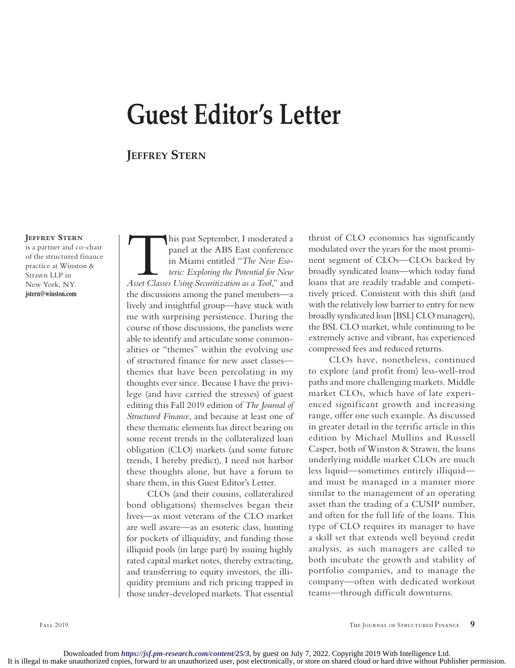## **Guest Editor's Letter**

## **Jeffrey Stern**

## **Jeffrey Stern**

is a partner and co-chair of the structured finance practice at Winston & Strawn LLP in New York, NY. **jstern@winston.com**

**This past September, I moderated a panel at the ABS East conference in Miami entitled "The New Esoteric: Exploring the Potential for New Asset Classes Using Securitization as a Tool," and** panel at the ABS East conference in Miami entitled "*The New Esoteric: Exploring the Potential for New*  the discussions among the panel members—a lively and insightful group—have stuck with me with surprising persistence. During the course of those discussions, the panelists were able to identify and articulate some commonalities or "themes" within the evolving use of structured finance for new asset classes themes that have been percolating in my thoughts ever since. Because I have the privilege (and have carried the stresses) of guest editing this Fall 2019 edition of *The Journal of Structured Finance*, and because at least one of these thematic elements has direct bearing on some recent trends in the collateralized loan obligation (CLO) markets (and some future trends, I hereby predict), I need not harbor these thoughts alone, but have a forum to share them, in this Guest Editor's Letter.

CLOs (and their cousins, collateralized bond obligations) themselves began their lives—as most veterans of the CLO market are well aware—as an esoteric class, hunting for pockets of illiquidity, and funding those illiquid pools (in large part) by issuing highly rated capital market notes, thereby extracting, and transferring to equity investors, the illiquidity premium and rich pricing trapped in those under-developed markets. That essential

thrust of CLO economics has significantly modulated over the years for the most prominent segment of CLOs—CLOs backed by broadly syndicated loans—which today fund loans that are readily tradable and competitively priced. Consistent with this shift (and with the relatively low barrier to entry for new broadly syndicated loan [BSL] CLO managers), the BSL CLO market, while continuing to be extremely active and vibrant, has experienced compressed fees and reduced returns.

CLOs have, nonetheless, continued to explore (and profit from) less-well-trod paths and more challenging markets. Middle market CLOs, which have of late experienced significant growth and increasing range, offer one such example. As discussed in greater detail in the terrific article in this edition by Michael Mullins and Russell Casper, both of Winston & Strawn, the loans underlying middle market CLOs are much less liquid—sometimes entirely illiquid and must be managed in a manner more similar to the management of an operating asset than the trading of a CUSIP number, and often for the full life of the loans. This type of CLO requires its manager to have a skill set that extends well beyond credit analysis, as such managers are called to both incubate the growth and stability of portfolio companies, and to manage the company—often with dedicated workout teams—through difficult downturns.